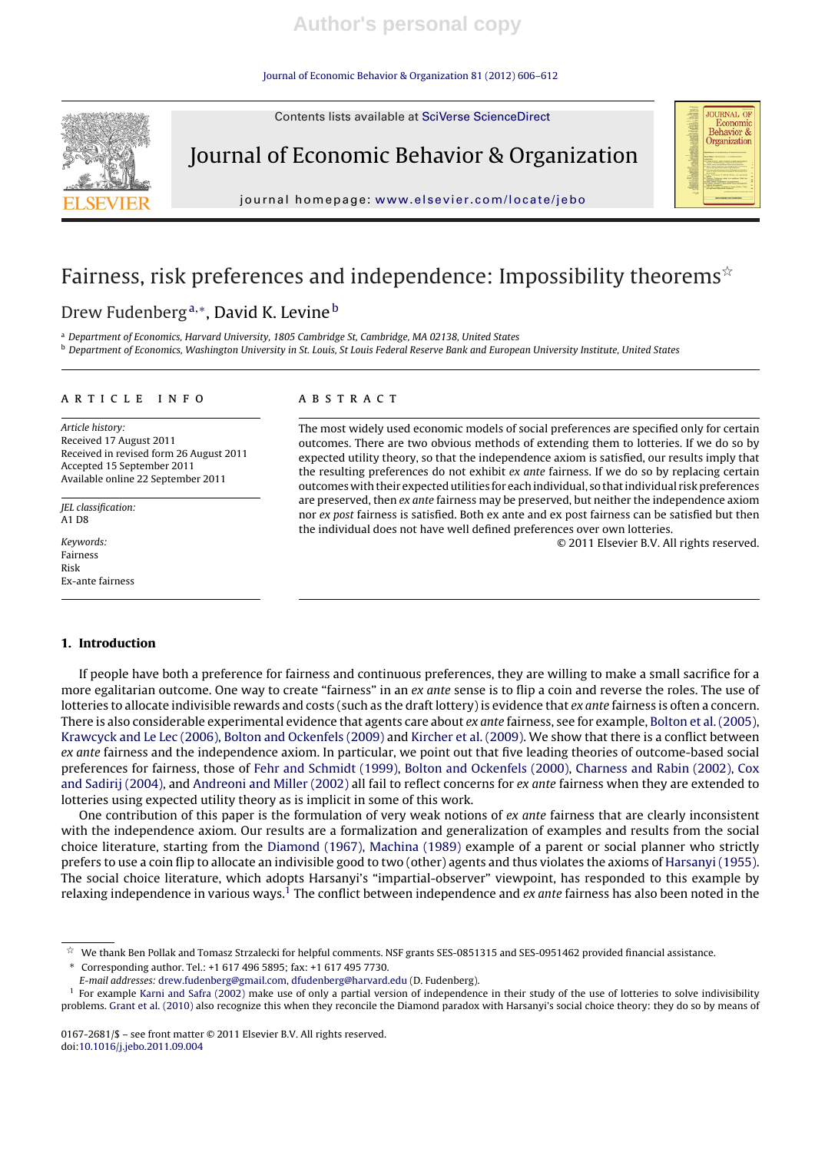#### Journal of Economic Behavior & Organization 81 (2012) 606–612



Contents lists available at SciVerse ScienceDirect

# Journal of Economic Behavior & Organization

journal homepage: www.elsevier.com/locate/jebo

# Fairness, risk preferences and independence: Impossibility theorems $*$

# Drew Fudenberg<sup>a,∗</sup>, David K. Levine<sup>b</sup>

a Department of Economics, Harvard University, 1805 Cambridge St, Cambridge, MA 02138, United States

**b** Department of Economics, Washington University in St. Louis, St Louis Federal Reserve Bank and European University Institute, United States

#### a r t i c l e i n f o

Article history: Received 17 August 2011 Received in revised form 26 August 2011 Accepted 15 September 2011 Available online 22 September 2011

JEL classification: A1 D8

Keywords: Fairness Risk Ex-ante fairness

### a b s t r a c t

The most widely used economic models of social preferences are specified only for certain outcomes. There are two obvious methods of extending them to lotteries. If we do so by expected utility theory, so that the independence axiom is satisfied, our results imply that the resulting preferences do not exhibit ex ante fairness. If we do so by replacing certain outcomes with their expected utilities for each individual, so that individual risk preferences are preserved, then ex ante fairness may be preserved, but neither the independence axiom nor ex post fairness is satisfied. Both ex ante and ex post fairness can be satisfied but then the individual does not have well defined preferences over own lotteries.

© 2011 Elsevier B.V. All rights reserved.

**JOURNAL OF** Economic Behavior & Organization

#### **1. Introduction**

If people have both a preference for fairness and continuous preferences, they are willing to make a small sacrifice for a more egalitarian outcome. One way to create "fairness" in an ex ante sense is to flip a coin and reverse the roles. The use of lotteries to allocate indivisible rewards and costs (such as the draft lottery) is evidence that ex ante fairness is often a concern. There is also considerable experimental evidence that agents care about ex ante fairness, see for example, Bolton et al.(2005), Krawcyck and Le Lec (2006), Bolton and Ockenfels (2009) and Kircher et al. (2009). We show that there is a conflict between ex ante fairness and the independence axiom. In particular, we point out that five leading theories of outcome-based social preferences for fairness, those of Fehr and Schmidt (1999), Bolton and Ockenfels (2000), Charness and Rabin (2002), Cox and Sadirij (2004), and Andreoni and Miller (2002) all fail to reflect concerns for ex ante fairness when they are extended to lotteries using expected utility theory as is implicit in some of this work.

One contribution of this paper is the formulation of very weak notions of ex ante fairness that are clearly inconsistent with the independence axiom. Our results are a formalization and generalization of examples and results from the social choice literature, starting from the Diamond (1967), Machina (1989) example of a parent or social planner who strictly prefers to use a coin flip to allocate an indivisible good to two (other) agents and thus violates the axioms of Harsanyi (1955). The social choice literature, which adopts Harsanyi's "impartial-observer" viewpoint, has responded to this example by relaxing independence in various ways.<sup>1</sup> The conflict between independence and ex ante fairness has also been noted in the

∗ Corresponding author. Tel.: +1 617 496 5895; fax: +1 617 495 7730.

 $\gamma_{\rm A}^{\rm A}$ We thank Ben Pollak and Tomasz Strzalecki for helpful comments. NSF grants SES-0851315 and SES-0951462 provided financial assistance.

E-mail addresses: drew.fudenberg@gmail.com, dfudenberg@harvard.edu (D. Fudenberg).

<sup>&</sup>lt;sup>1</sup> For example Karni and Safra (2002) make use of only a partial version of independence in their study of the use of lotteries to solve indivisibility problems. Grant et al. (2010) also recognize this when they reconcile the Diamond paradox with Harsanyi's social choice theory: they do so by means of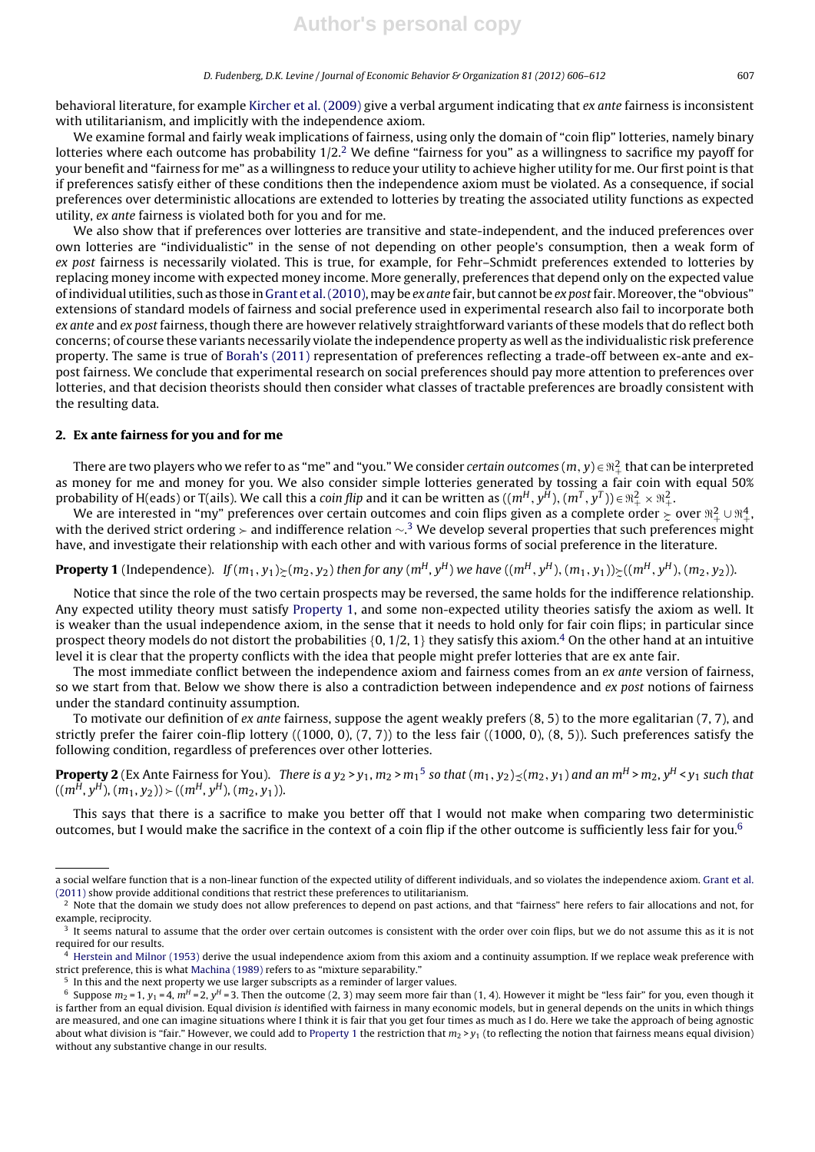behavioral literature, for example Kircher et al. (2009) give a verbal argument indicating that ex ante fairness is inconsistent with utilitarianism, and implicitly with the independence axiom.

We examine formal and fairly weak implications of fairness, using only the domain of "coin flip" lotteries, namely binary lotteries where each outcome has probability  $1/2<sup>2</sup>$  We define "fairness for you" as a willingness to sacrifice my payoff for your benefit and "fairness for me" as a willingness to reduce your utility to achieve higher utility for me. Our first point is that if preferences satisfy either of these conditions then the independence axiom must be violated. As a consequence, if social preferences over deterministic allocations are extended to lotteries by treating the associated utility functions as expected utility, ex ante fairness is violated both for you and for me.

We also show that if preferences over lotteries are transitive and state-independent, and the induced preferences over own lotteries are "individualistic" in the sense of not depending on other people's consumption, then a weak form of ex post fairness is necessarily violated. This is true, for example, for Fehr–Schmidt preferences extended to lotteries by replacing money income with expected money income. More generally, preferences that depend only on the expected value of individual utilities, such as those in Grant et al. (2010), may be ex ante fair, but cannot be ex post fair. Moreover, the "obvious" extensions of standard models of fairness and social preference used in experimental research also fail to incorporate both ex ante and ex post fairness, though there are however relatively straightforward variants of these models that do reflect both concerns; of course these variants necessarily violate the independence property as well as the individualistic risk preference property. The same is true of Borah's (2011) representation of preferences reflecting a trade-off between ex-ante and expost fairness. We conclude that experimental research on social preferences should pay more attention to preferences over lotteries, and that decision theorists should then consider what classes of tractable preferences are broadly consistent with the resulting data.

#### **2. Ex ante fairness for you and for me**

There are two players who we refer to as "me" and "you." We consider certain outcomes  $(m, y) \in \mathbb{R}^2_+$  that can be interpreted as money for me and money for you. We also consider simple lotteries generated by tossing a fair coin with equal 50% probability of H(eads) or T(ails). We call this a *coin flip* and it can be written as  $((m^H, y^H), (m^T, y^T)) \in \mathbb{R}_+^2 \times \mathbb{R}_+^2$ .

We are interested in "my" preferences over certain outcomes and coin flips given as a complete order  $\succcurlyeq$  over  $\mathbb{R}^2_+ \cup \mathbb{R}^4_+$ . with the derived strict ordering > and indifference relation  $\sim$ .<sup>3</sup> We develop several properties that such preferences might have, and investigate their relationship with each other and with various forms of social preference in the literature.

**Property 1** (Independence).  $If (m_1, y_1)_{\succeq}(m_2, y_2)$  then for any  $(m^H, y^H)$  we have  $((m^H, y^H), (m_1, y_1))_{\succeq}((m^H, y^H), (m_2, y_2))$ .

Notice that since the role of the two certain prospects may be reversed, the same holds for the indifference relationship. Any expected utility theory must satisfy Property 1, and some non-expected utility theories satisfy the axiom as well. It is weaker than the usual independence axiom, in the sense that it needs to hold only for fair coin flips; in particular since prospect theory models do not distort the probabilities  $\{0, 1/2, 1\}$  they satisfy this axiom.<sup>4</sup> On the other hand at an intuitive level it is clear that the property conflicts with the idea that people might prefer lotteries that are ex ante fair.

The most immediate conflict between the independence axiom and fairness comes from an ex ante version of fairness, so we start from that. Below we show there is also a contradiction between independence and ex post notions of fairness under the standard continuity assumption.

To motivate our definition of ex ante fairness, suppose the agent weakly prefers (8, 5) to the more egalitarian (7, 7), and strictly prefer the fairer coin-flip lottery ((1000, 0), (7, 7)) to the less fair ((1000, 0), (8, 5)). Such preferences satisfy the following condition, regardless of preferences over other lotteries.

**Property 2** (Ex Ante Fairness for You). There is a y<sub>2</sub> > y<sub>1</sub>, m<sub>2</sub> > m<sub>1</sub><sup>5</sup> so that  $(m_1, y_2)_{\precsim} (m_2, y_1)$  and an m<sup>H</sup> > m<sub>2</sub>, y<sup>H</sup> < y<sub>1</sub> such that  $\tilde{a}$  $((m^{\tilde{H}}, y^{\tilde{H}}), (m_1, y_2)) \rangle (m^H, y^H), (m_2, y_1)).$ 

This says that there is a sacrifice to make you better off that I would not make when comparing two deterministic outcomes, but I would make the sacrifice in the context of a coin flip if the other outcome is sufficiently less fair for you.<sup>6</sup>

a social welfare function that is a non-linear function of the expected utility of different individuals, and so violates the independence axiom. Grant et al. (2011) show provide additional conditions that restrict these preferences to utilitarianism.

<sup>&</sup>lt;sup>2</sup> Note that the domain we study does not allow preferences to depend on past actions, and that "fairness" here refers to fair allocations and not, for example, reciprocity.

<sup>&</sup>lt;sup>3</sup> It seems natural to assume that the order over certain outcomes is consistent with the order over coin flips, but we do not assume this as it is not required for our results.

<sup>4</sup> Herstein and Milnor (1953) derive the usual independence axiom from this axiom and a continuity assumption. If we replace weak preference with strict preference, this is what Machina (1989) refers to as "mixture separability."

<sup>&</sup>lt;sup>5</sup> In this and the next property we use larger subscripts as a reminder of larger values.

<sup>&</sup>lt;sup>6</sup> Suppose  $m_2$  = 1,  $y_1$  = 4,  $m^H$  = 2,  $y^H$  = 3. Then the outcome (2, 3) may seem more fair than (1, 4). However it might be "less fair" for you, even though it is farther from an equal division. Equal division is identified with fairness in many economic models, but in general depends on the units in which things are measured, and one can imagine situations where I think it is fair that you get four times as much as I do. Here we take the approach of being agnostic about what division is "fair." However, we could add to Property 1 the restriction that  $m_2 > y_1$  (to reflecting the notion that fairness means equal division) without any substantive change in our results.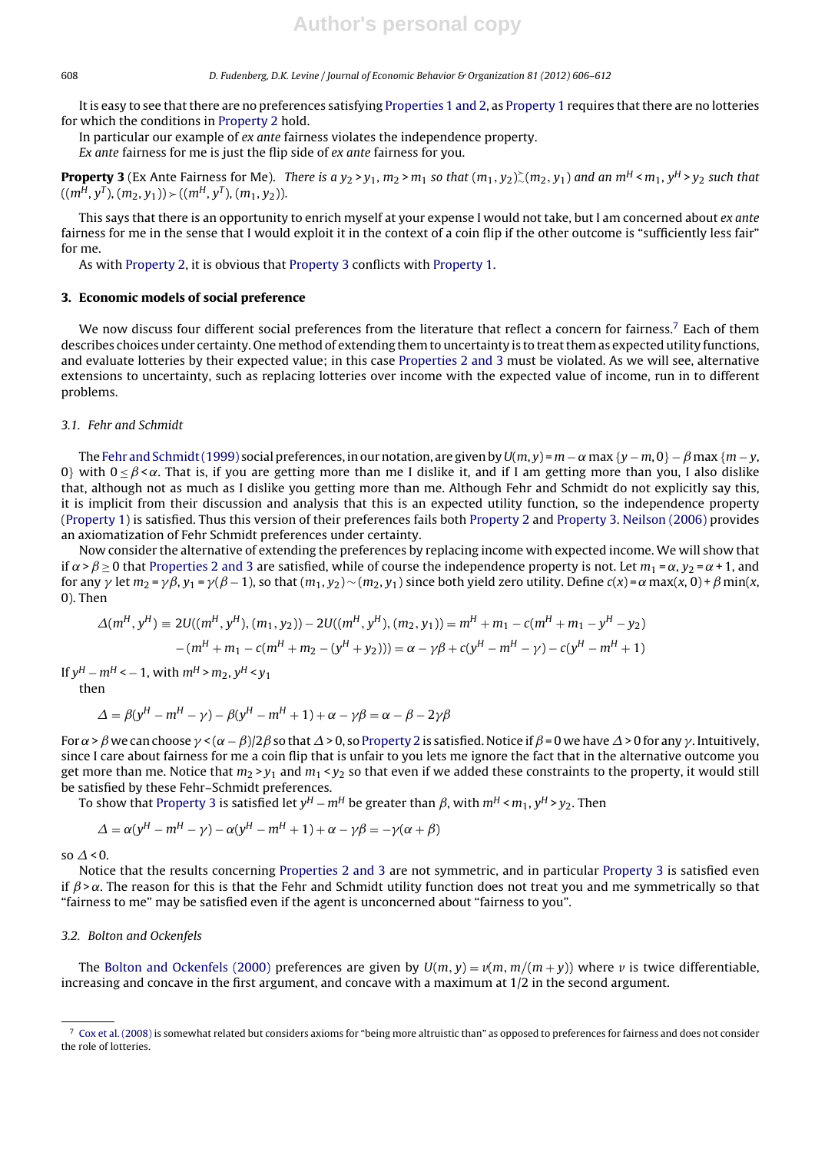#### 608 D. Fudenberg, D.K. Levine / Journal of Economic Behavior & Organization *81 (2012) 606–612*

It is easy to see that there are no preferences satisfying Properties 1 and 2, as Property 1 requires that there are no lotteries for which the conditions in Property 2 hold.

In particular our example of ex ante fairness violates the independence property. Ex ante fairness for me is just the flip side of ex ante fairness for you.

**Property 3** (Ex Ante Fairness for Me). There is a  $y_2 > y_1$ ,  $m_2 > m_1$  so that  $(m_1, y_2)$ ,  $(m_2, y_1)$  and an  $m^H < m_1$ ,  $y^H > y_2$  such that  $((m<sup>H</sup>, y<sup>T</sup>), (m<sub>2</sub>, y<sub>1</sub>)) \rangle (m<sup>H</sup>, y<sup>T</sup>), (m<sub>1</sub>, y<sub>2</sub>)).$ 

This says that there is an opportunity to enrich myself at your expense I would not take, but I am concerned about ex ante fairness for me in the sense that I would exploit it in the context of a coin flip if the other outcome is "sufficiently less fair" for me.

As with Property 2, it is obvious that Property 3 conflicts with Property 1.

#### **3. Economic models of social preference**

We now discuss four different social preferences from the literature that reflect a concern for fairness.<sup>7</sup> Each of them describes choices under certainty. One method of extending them to uncertainty is to treatthem as expected utility functions, and evaluate lotteries by their expected value; in this case Properties 2 and 3 must be violated. As we will see, alternative extensions to uncertainty, such as replacing lotteries over income with the expected value of income, run in to different problems.

#### 3.1. Fehr and Schmidt

The Fehr and Schmidt(1999) social preferences, in our notation, are given by  $U(m, y) = m - \alpha \max \{y - m, 0\} - \beta \max \{m - y,$ 0} with  $0 < \beta < \alpha$ . That is, if you are getting more than me I dislike it, and if I am getting more than you, I also dislike that, although not as much as I dislike you getting more than me. Although Fehr and Schmidt do not explicitly say this, it is implicit from their discussion and analysis that this is an expected utility function, so the independence property (Property 1) is satisfied. Thus this version of their preferences fails both Property 2 and Property 3. Neilson (2006) provides an axiomatization of Fehr Schmidt preferences under certainty.

Now consider the alternative of extending the preferences by replacing income with expected income. We will show that if  $\alpha > \beta > 0$  that Properties 2 and 3 are satisfied, while of course the independence property is not. Let  $m_1 = \alpha$ ,  $y_2 = \alpha + 1$ , and for any  $\gamma$  let  $m_2$  =  $\gamma\beta$ ,  $y_1$  =  $\gamma(\beta-1)$ , so that  $(m_1,y_2)$   $\sim$   $(m_2,y_1)$  since both yield zero utility. Define  $c(x)$  =  $\alpha$  max(x, 0) +  $\beta$  min(x, 0). Then

$$
\Delta(m^H, y^H) \equiv 2U((m^H, y^H), (m_1, y_2)) - 2U((m^H, y^H), (m_2, y_1)) = m^H + m_1 - c(m^H + m_1 - y^H - y_2)
$$

$$
-(m^H + m_1 - c(m^H + m_2 - (y^H + y_2))) = \alpha - \gamma\beta + c(y^H - m^H - \gamma) - c(y^H - m^H + 1)
$$

If  $v^H - m^H < -1$ , with  $m^H > m_2$ ,  $v^H < v_1$ 

then

$$
\Delta = \beta(y^H - m^H - \gamma) - \beta(y^H - m^H + 1) + \alpha - \gamma\beta = \alpha - \beta - 2\gamma\beta
$$

For  $\alpha$  >  $\beta$  we can choose  $\gamma$  < ( $\alpha-\beta$ )/2 $\beta$  so that  $\varDelta$  > 0, so Property 2 is satisfied. Notice if  $\beta$  = 0 we have  $\varDelta$  > 0 for any  $\gamma$ . Intuitively, since I care about fairness for me a coin flip that is unfair to you lets me ignore the fact that in the alternative outcome you get more than me. Notice that  $m_2 > v_1$  and  $m_1 < v_2$  so that even if we added these constraints to the property, it would still be satisfied by these Fehr–Schmidt preferences.

To show that Property 3 is satisfied let  $y^H - m^H$  be greater than  $\beta$ , with  $m^H < m_1$ ,  $y^H > y_2$ . Then

$$
\Delta = \alpha(y^{H} - m^{H} - \gamma) - \alpha(y^{H} - m^{H} + 1) + \alpha - \gamma\beta = -\gamma(\alpha + \beta)
$$

so  $\Delta$  < 0.

Notice that the results concerning Properties 2 and 3 are not symmetric, and in particular Property 3 is satisfied even if  $\beta > \alpha$ . The reason for this is that the Fehr and Schmidt utility function does not treat you and me symmetrically so that "fairness to me" may be satisfied even if the agent is unconcerned about "fairness to you".

#### 3.2. Bolton and Ockenfels

The Bolton and Ockenfels (2000) preferences are given by  $U(m, y) = v(m, m/(m + y))$  where *v* is twice differentiable, increasing and concave in the first argument, and concave with a maximum at 1/2 in the second argument.

 $7$  Cox et al. (2008) is somewhat related but considers axioms for "being more altruistic than" as opposed to preferences for fairness and does not consider the role of lotteries.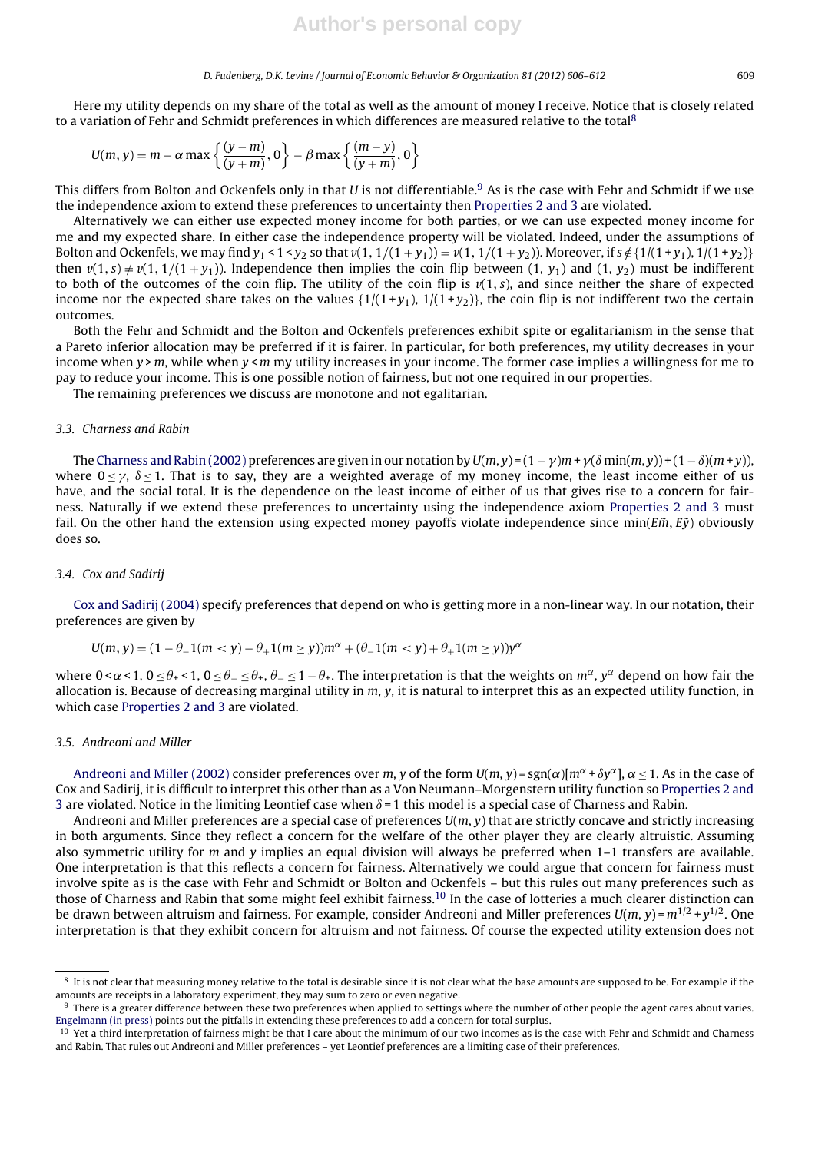#### D. Fudenberg, D.K. Levine / Journal of Economic Behavior & Organization *81 (2012) 606–612* 609

Here my utility depends on my share of the total as well as the amount of money I receive. Notice that is closely related to a variation of Fehr and Schmidt preferences in which differences are measured relative to the total<sup>8</sup>

$$
U(m, y) = m - \alpha \max \left\{ \frac{(y-m)}{(y+m)}, 0 \right\} - \beta \max \left\{ \frac{(m-y)}{(y+m)}, 0 \right\}
$$

This differs from Bolton and Ockenfels only in that U is not differentiable.<sup>9</sup> As is the case with Fehr and Schmidt if we use the independence axiom to extend these preferences to uncertainty then Properties 2 and 3 are violated.

Alternatively we can either use expected money income for both parties, or we can use expected money income for me and my expected share. In either case the independence property will be violated. Indeed, under the assumptions of Bolton and Ockenfels, we may find  $y_1 < 1 < y_2$  so that  $v(1, 1/(1 + y_1)) = v(1, 1/(1 + y_2))$ . Moreover, if  $s \notin \{1/(1 + y_1), 1/(1 + y_2)\}$ then  $v(1, s) \neq v(1, 1/(1 + y_1))$ . Independence then implies the coin flip between (1, y<sub>1</sub>) and (1, y<sub>2</sub>) must be indifferent to both of the outcomes of the coin flip. The utility of the coin flip is  $v(1, s)$ , and since neither the share of expected income nor the expected share takes on the values  $\{1/(1+y_1), 1/(1+y_2)\}$ , the coin flip is not indifferent two the certain outcomes.

Both the Fehr and Schmidt and the Bolton and Ockenfels preferences exhibit spite or egalitarianism in the sense that a Pareto inferior allocation may be preferred if it is fairer. In particular, for both preferences, my utility decreases in your income when  $y > m$ , while when  $y < m$  my utility increases in your income. The former case implies a willingness for me to pay to reduce your income. This is one possible notion of fairness, but not one required in our properties.

The remaining preferences we discuss are monotone and not egalitarian.

#### 3.3. Charness and Rabin

The Charness and Rabin (2002) preferences are given in our notation by  $U(m,y)$  =  $(1-\gamma)m$  +  $\gamma(\delta \min(m,y))$  +  $(1-\delta)(m+y)$ ), where  $0 \le \gamma$ ,  $\delta \le 1$ . That is to say, they are a weighted average of my money income, the least income either of us have, and the social total. It is the dependence on the least income of either of us that gives rise to a concern for fairness. Naturally if we extend these preferences to uncertainty using the independence axiom Properties 2 and 3 must fail. On the other hand the extension using expected money payoffs violate independence since min( $E\tilde{m}$ ,  $E\tilde{y}$ ) obviously does so.

#### 3.4. Cox and Sadirij

Cox and Sadirij (2004) specify preferences that depend on who is getting more in a non-linear way. In our notation, their preferences are given by

$$
U(m, y) = (1 - \theta_{-}1(m < y) - \theta_{+}1(m \ge y))m^{\alpha} + (\theta_{-}1(m < y) + \theta_{+}1(m \ge y))y^{\alpha}
$$

where  $0 < \alpha < 1$ ,  $0 \le \theta_+ < 1$ ,  $0 \le \theta_- \le \theta_+$ ,  $\theta_- \le 1 - \theta_+$ . The interpretation is that the weights on  $m^{\alpha}$ ,  $y^{\alpha}$  depend on how fair the allocation is. Because of decreasing marginal utility in  $m$ ,  $y$ , it is natural to interpret this as an expected utility function, in which case Properties 2 and 3 are violated.

## 3.5. Andreoni and Miller

Andreoni and Miller (2002) consider preferences over m, y of the form  $U(m, y) = sgn(\alpha) [m^{\alpha} + \delta y^{\alpha}]$ ,  $\alpha < 1$ . As in the case of Cox and Sadirij, it is difficult to interpret this other than as a Von Neumann–Morgenstern utility function so Properties 2 and 3 are violated. Notice in the limiting Leontief case when  $\delta$  = 1 this model is a special case of Charness and Rabin.

Andreoni and Miller preferences are a special case of preferences  $U(m, y)$  that are strictly concave and strictly increasing in both arguments. Since they reflect a concern for the welfare of the other player they are clearly altruistic. Assuming also symmetric utility for m and y implies an equal division will always be preferred when  $1-1$  transfers are available. One interpretation is that this reflects a concern for fairness. Alternatively we could argue that concern for fairness must involve spite as is the case with Fehr and Schmidt or Bolton and Ockenfels – but this rules out many preferences such as those of Charness and Rabin that some might feel exhibit fairness.<sup>10</sup> In the case of lotteries a much clearer distinction can be drawn between altruism and fairness. For example, consider Andreoni and Miller preferences  $U(m, y) = m^{1/2} + y^{1/2}$ . One interpretation is that they exhibit concern for altruism and not fairness. Of course the expected utility extension does not

<sup>&</sup>lt;sup>8</sup> It is not clear that measuring money relative to the total is desirable since it is not clear what the base amounts are supposed to be. For example if the amounts are receipts in a laboratory experiment, they may sum to zero or even negative.

<sup>&</sup>lt;sup>9</sup> There is a greater difference between these two preferences when applied to settings where the number of other people the agent cares about varies. Engelmann (in press) points out the pitfalls in extending these preferences to add a concern for total surplus.

<sup>&</sup>lt;sup>10</sup> Yet a third interpretation of fairness might be that I care about the minimum of our two incomes as is the case with Fehr and Schmidt and Charness and Rabin. That rules out Andreoni and Miller preferences – yet Leontief preferences are a limiting case of their preferences.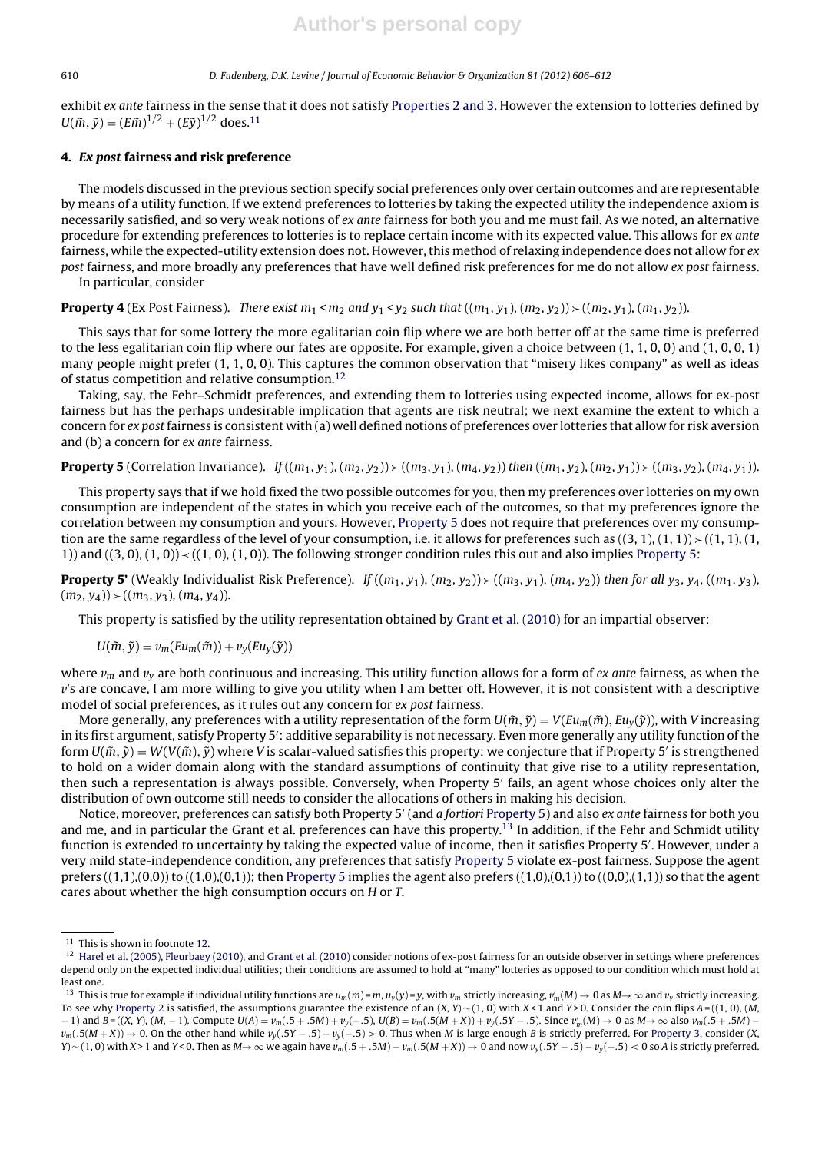#### 610 D. Fudenberg, D.K. Levine / Journal of Economic Behavior & Organization *81 (2012) 606–612*

exhibit ex ante fairness in the sense that it does not satisfy Properties 2 and 3. However the extension to lotteries defined by  $U(\tilde{m}, \tilde{y}) = (E\tilde{m})^{1/2} + (E\tilde{y})^{1/2}$  does.<sup>11</sup>

### **4. Ex post fairness and risk preference**

The models discussed in the previous section specify social preferences only over certain outcomes and are representable by means of a utility function. If we extend preferences to lotteries by taking the expected utility the independence axiom is necessarily satisfied, and so very weak notions of ex ante fairness for both you and me must fail. As we noted, an alternative procedure for extending preferences to lotteries is to replace certain income with its expected value. This allows for ex ante fairness, while the expected-utility extension does not. However, this method of relaxing independence does not allow for  $ex$ post fairness, and more broadly any preferences that have well defined risk preferences for me do not allow ex post fairness. In particular, consider

**Property 4** (Ex Post Fairness). There exist  $m_1 < m_2$  and  $y_1 < y_2$  such that  $((m_1, y_1), (m_2, y_2)) \succ ((m_2, y_1), (m_1, y_2))$ .

This says that for some lottery the more egalitarian coin flip where we are both better off at the same time is preferred to the less egalitarian coin flip where our fates are opposite. For example, given a choice between (1, 1, 0, 0) and (1, 0, 0, 1) many people might prefer (1, 1, 0, 0). This captures the common observation that "misery likes company" as well as ideas of status competition and relative consumption.12

Taking, say, the Fehr–Schmidt preferences, and extending them to lotteries using expected income, allows for ex-post fairness but has the perhaps undesirable implication that agents are risk neutral; we next examine the extent to which a concern for ex post fairness is consistent with (a) well defined notions of preferences over lotteries that allow for risk aversion and (b) a concern for ex ante fairness.

**Property 5** (Correlation Invariance). If  $((m_1, y_1), (m_2, y_2)) \times ((m_3, y_1), (m_4, y_2))$  then  $((m_1, y_2), (m_2, y_1)) \times ((m_3, y_2), (m_4, y_1))$ .

This property says that if we hold fixed the two possible outcomes for you, then my preferences over lotteries on my own consumption are independent of the states in which you receive each of the outcomes, so that my preferences ignore the correlation between my consumption and yours. However, Property 5 does not require that preferences over my consumption are the same regardless of the level of your consumption, i.e. it allows for preferences such as  $((3, 1), (1, 1))$   $\geq$   $((1, 1), (1, 1))$ 1)) and  $((3, 0), (1, 0)) \prec ((1, 0), (1, 0))$ . The following stronger condition rules this out and also implies Property 5:

**Property 5'** (Weakly Individualist Risk Preference). If  $((m_1, y_1), (m_2, y_2)) \succ ((m_3, y_1), (m_4, y_2))$  then for all  $y_3, y_4, ((m_1, y_3),$  $(m_2, y_4)$   $\rightarrow$   $((m_3, y_3), (m_4, y_4)).$ 

This property is satisfied by the utility representation obtained by Grant et al. (2010) for an impartial observer:

$$
U(\tilde{m}, \tilde{y}) = v_m(Eu_m(\tilde{m})) + v_y(Eu_y(\tilde{y}))
$$

where  $v_m$  and  $v_v$  are both continuous and increasing. This utility function allows for a form of *ex ante* fairness, as when the *v*'s are concave, I am more willing to give you utility when I am better off. However, it is not consistent with a descriptive model of social preferences, as it rules out any concern for ex post fairness.

More generally, any preferences with a utility representation of the form  $U(\tilde{m}, \tilde{y}) = V(Eu_m(\tilde{m}), Eu_y(\tilde{y}))$ , with V increasing in its first argument, satisfy Property 5': additive separability is not necessary. Even more generally any utility function of the form  $U(\tilde{m}, \tilde{y}) = W(V(\tilde{m}), \tilde{y})$  where V is scalar-valued satisfies this property: we conjecture that if Property 5' is strengthened to hold on a wider domain along with the standard assumptions of continuity that give rise to a utility representation, then such a representation is always possible. Conversely, when Property 5 fails, an agent whose choices only alter the distribution of own outcome still needs to consider the allocations of others in making his decision.

Notice, moreover, preferences can satisfy both Property 5' (and a fortiori Property 5) and also ex ante fairness for both you and me, and in particular the Grant et al. preferences can have this property.<sup>13</sup> In addition, if the Fehr and Schmidt utility function is extended to uncertainty by taking the expected value of income, then it satisfies Property 5 . However, under a very mild state-independence condition, any preferences that satisfy Property 5 violate ex-post fairness. Suppose the agent prefers  $((1,1),(0,0))$  to  $((1,0),(0,1))$ ; then Property 5 implies the agent also prefers  $((1,0),(0,1))$  to  $((0,0),(1,1))$  so that the agent cares about whether the high consumption occurs on H or T.

<sup>&</sup>lt;sup>11</sup> This is shown in footnote 12.

 $12$  Harel et al. (2005), Fleurbaey (2010), and Grant et al. (2010) consider notions of ex-post fairness for an outside observer in settings where preferences depend only on the expected individual utilities; their conditions are assumed to hold at "many" lotteries as opposed to our condition which must hold at least one.

<sup>&</sup>lt;sup>13</sup> This is true for example if individual utility functions are  $u_m(m)$  =  $m$ ,  $u_y(y)$  =  $y$ , with  $v_m$  strictly increasing,  $v_m(M) \to 0$  as  $M \to \infty$  and  $v_y$  strictly increasing. To see why Property 2 is satisfied, the assumptions guarantee the existence of an  $(X, Y) \sim (1, 0)$  with  $X < 1$  and  $Y > 0$ . Consider the coin flips  $A = ((1, 0), (M, 0))$ − 1) and B = ((X, Y), (M, − 1). Compute U(A) = *v*m(.5 + .5M) + *v*y(−.5), U(B) = *v*m(.5(M + X)) + *v*y(.5Y − .5). Since *v* <sup>m</sup>(M) → 0 as M→∞ also *v*m(.5 + .5M) −  $v_m(.5(M+X)) \to 0$ . On the other hand while  $v_y(.5Y-0.5) - v_y(-0.5) > 0$ . Thus when M is large enough B is strictly preferred. For Property 3, consider (X, *Y*) ∼ (1, 0) with X > 1 and Y < 0. Then as M → ∞ we again have *v*<sub>m</sub>(.5 + .5M) – *v*<sub>m</sub>(.5(M + X)) → 0 and now *v<sub>y</sub>*(.5Y – .5) – *v<sub>y</sub>*(-.5) < 0 so A is strictly preferred.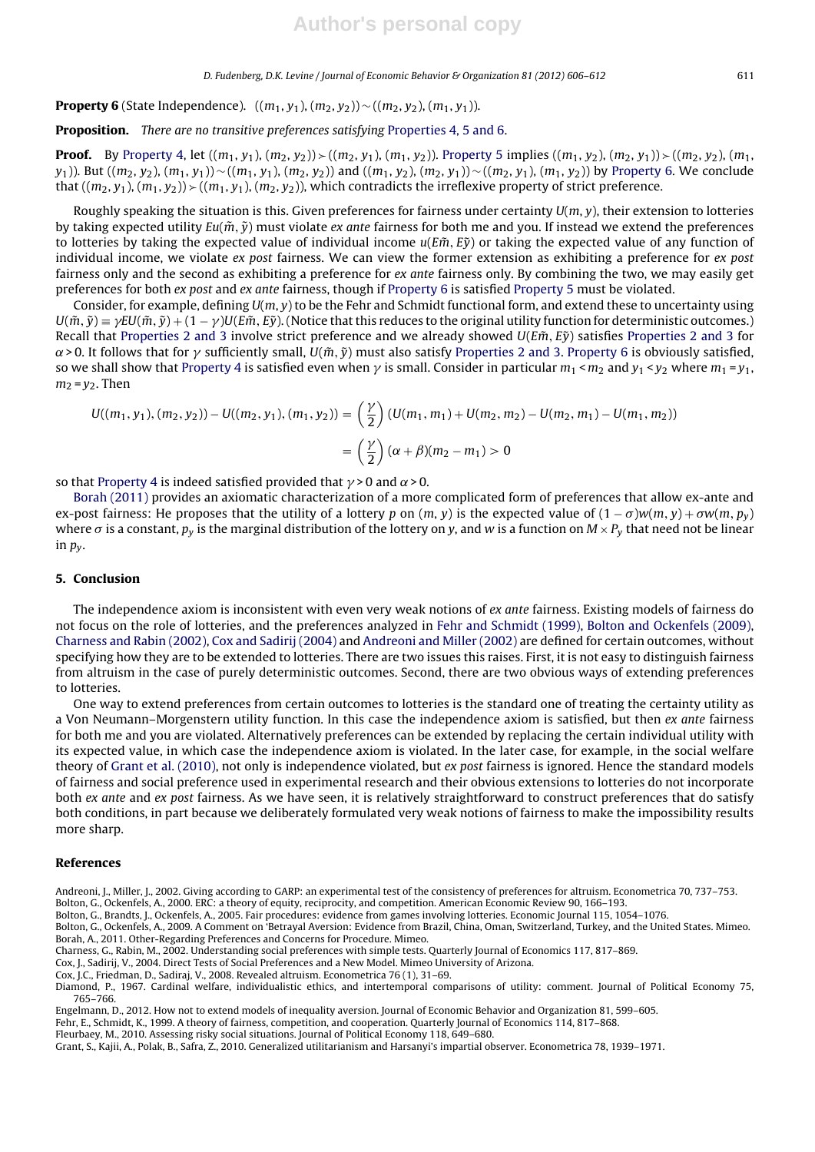**Property 6** (State Independence).  $((m_1, y_1), (m_2, y_2)) \sim ((m_2, y_2), (m_1, y_1)).$ 

**Proposition.** There are no transitive preferences satisfying Properties 4, 5 and 6.

**Proof.** By Property 4, let  $((m_1, y_1), (m_2, y_2))$   $\geq$   $((m_2, y_1), (m_1, y_2))$ . Property 5 implies  $((m_1, y_2), (m_2, y_1))$  $\geq$   $((m_2, y_2), (m_1, y_2))$ y<sub>1</sub>)). But (( $m_2, y_2$ ),  $(m_1, y_1)$ ) ~ (( $m_1, y_1$ ), ( $m_2, y_2$ )) and ( $(m_1, y_2)$ , ( $m_2, y_1$ )) ~ (( $m_2, y_1$ ), ( $m_1, y_2$ )) by Property 6. We conclude that  $((m_2, y_1), (m_1, y_2))$   $\geq$   $((m_1, y_1), (m_2, y_2))$ , which contradicts the irreflexive property of strict preference.

Roughly speaking the situation is this. Given preferences for fairness under certainty  $U(m, y)$ , their extension to lotteries by taking expected utility  $Eu(\tilde{m}, \tilde{y})$  must violate ex ante fairness for both me and you. If instead we extend the preferences to lotteries by taking the expected value of individual income  $u(E\tilde{m}, E\tilde{y})$  or taking the expected value of any function of individual income, we violate ex post fairness. We can view the former extension as exhibiting a preference for  $ex$  post fairness only and the second as exhibiting a preference for ex ante fairness only. By combining the two, we may easily get preferences for both ex post and ex ante fairness, though if Property 6 is satisfied Property 5 must be violated.

Consider, for example, defining  $U(m, y)$  to be the Fehr and Schmidt functional form, and extend these to uncertainty using  $U(\tilde{m},\tilde{y})=\gamma EU(\tilde{m},\tilde{y})+(1-\gamma)U(E\tilde{m},E\tilde{y}).$  (Notice that this reduces to the original utility function for deterministic outcomes.) Recall that Properties 2 and 3 involve strict preference and we already showed  $U(E\tilde{m}, E\tilde{y})$  satisfies Properties 2 and 3 for  $\alpha$ >0. It follows that for  $\gamma$  sufficiently small,  $U(\tilde m, \tilde y)$  must also satisfy Properties 2 and 3. Property 6 is obviously satisfied, so we shall show that Property 4 is satisfied even when  $\gamma$  is small. Consider in particular  $m_1$  <  $m_2$  and  $y_1$  <  $y_2$  where  $m_1$  =  $y_1$ ,  $m_2 = v_2$ . Then

$$
U((m_1, y_1), (m_2, y_2)) - U((m_2, y_1), (m_1, y_2)) = \left(\frac{\gamma}{2}\right) (U(m_1, m_1) + U(m_2, m_2) - U(m_2, m_1) - U(m_1, m_2))
$$
  
= 
$$
\left(\frac{\gamma}{2}\right) (\alpha + \beta)(m_2 - m_1) > 0
$$

so that Property 4 is indeed satisfied provided that  $\gamma$  > 0 and  $\alpha$  > 0.

Borah (2011) provides an axiomatic characterization of a more complicated form of preferences that allow ex-ante and ex-post fairness: He proposes that the utility of a lottery p on  $(m, y)$  is the expected value of  $(1 - \sigma)w(m, y) + \sigma w(m, p_y)$ where  $\sigma$  is a constant,  $p_v$  is the marginal distribution of the lottery on y, and w is a function on  $M \times P_v$  that need not be linear in  $p_v$ .

#### **5. Conclusion**

The independence axiom is inconsistent with even very weak notions of ex ante fairness. Existing models of fairness do not focus on the role of lotteries, and the preferences analyzed in Fehr and Schmidt (1999), Bolton and Ockenfels (2009), Charness and Rabin (2002), Cox and Sadirij (2004) and Andreoni and Miller (2002) are defined for certain outcomes, without specifying how they are to be extended to lotteries. There are two issues this raises. First, it is not easy to distinguish fairness from altruism in the case of purely deterministic outcomes. Second, there are two obvious ways of extending preferences to lotteries.

One way to extend preferences from certain outcomes to lotteries is the standard one of treating the certainty utility as a Von Neumann–Morgenstern utility function. In this case the independence axiom is satisfied, but then ex ante fairness for both me and you are violated. Alternatively preferences can be extended by replacing the certain individual utility with its expected value, in which case the independence axiom is violated. In the later case, for example, in the social welfare theory of Grant et al. (2010), not only is independence violated, but ex post fairness is ignored. Hence the standard models of fairness and social preference used in experimental research and their obvious extensions to lotteries do not incorporate both ex ante and ex post fairness. As we have seen, it is relatively straightforward to construct preferences that do satisfy both conditions, in part because we deliberately formulated very weak notions of fairness to make the impossibility results more sharp.

#### **References**

- Andreoni, J., Miller, J., 2002. Giving according to GARP: an experimental test of the consistency of preferences for altruism. Econometrica 70, 737–753. Bolton, G., Ockenfels, A., 2000. ERC: a theory of equity, reciprocity, and competition. American Economic Review 90, 166–193.
- 
- Bolton, G., Brandts, J., Ockenfels, A., 2005. Fair procedures: evidence from games involving lotteries. Economic Journal 115, 1054–1076. Bolton, G., Ockenfels, A., 2009. A Comment on 'Betrayal Aversion: Evidence from Brazil, China, Oman, Switzerland, Turkey, and the United States. Mimeo. Borah, A., 2011. Other-Regarding Preferences and Concerns for Procedure. Mimeo.
- Charness, G., Rabin, M., 2002. Understanding social preferences with simple tests. Quarterly Journal of Economics 117, 817–869.
- Cox, J., Sadirij, V., 2004. Direct Tests of Social Preferences and a New Model. Mimeo University of Arizona.
- Cox, J.C., Friedman, D., Sadiraj, V., 2008. Revealed altruism. Econometrica 76 (1), 31–69.

Diamond, P., 1967. Cardinal welfare, individualistic ethics, and intertemporal comparisons of utility: comment. Journal of Political Economy 75, 765–766.

Engelmann, D., 2012. How not to extend models of inequality aversion. Journal of Economic Behavior and Organization 81, 599–605.

Fehr, E., Schmidt, K., 1999. A theory of fairness, competition, and cooperation. Quarterly Journal of Economics 114, 817–868.

Fleurbaey, M., 2010. Assessing risky social situations. Journal of Political Economy 118, 649–680.

Grant, S., Kajii, A., Polak, B., Safra, Z., 2010. Generalized utilitarianism and Harsanyi's impartial observer. Econometrica 78, 1939–1971.